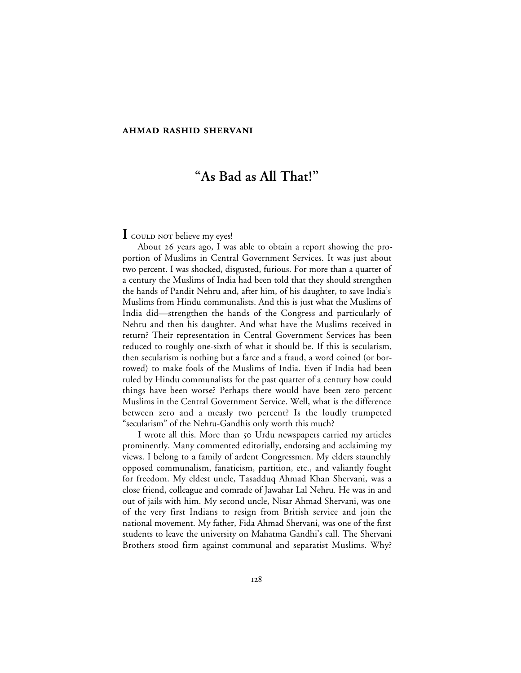# **"As Bad as All That!"**

## **I** could not believe my eyes!

About 26 years ago, I was able to obtain a report showing the proportion of Muslims in Central Government Services. It was just about two percent. I was shocked, disgusted, furious. For more than a quarter of a century the Muslims of India had been told that they should strengthen the hands of Pandit Nehru and, after him, of his daughter, to save India's Muslims from Hindu communalists. And this is just what the Muslims of India did—strengthen the hands of the Congress and particularly of Nehru and then his daughter. And what have the Muslims received in return? Their representation in Central Government Services has been reduced to roughly one-sixth of what it should be. If this is secularism, then secularism is nothing but a farce and a fraud, a word coined (or borrowed) to make fools of the Muslims of India. Even if India had been ruled by Hindu communalists for the past quarter of a century how could things have been worse? Perhaps there would have been zero percent Muslims in the Central Government Service. Well, what is the difference between zero and a measly two percent? Is the loudly trumpeted "secularism" of the Nehru-Gandhis only worth this much?

I wrote all this. More than 50 Urdu newspapers carried my articles prominently. Many commented editorially, endorsing and acclaiming my views. I belong to a family of ardent Congressmen. My elders staunchly opposed communalism, fanaticism, partition, etc., and valiantly fought for freedom. My eldest uncle, Tasadduq Ahmad Khan Shervani, was a close friend, colleague and comrade of Jawahar Lal Nehru. He was in and out of jails with him. My second uncle, Nisar Ahmad Shervani, was one of the very first Indians to resign from British service and join the national movement. My father, Fida Ahmad Shervani, was one of the first students to leave the university on Mahatma Gandhi's call. The Shervani Brothers stood firm against communal and separatist Muslims. Why?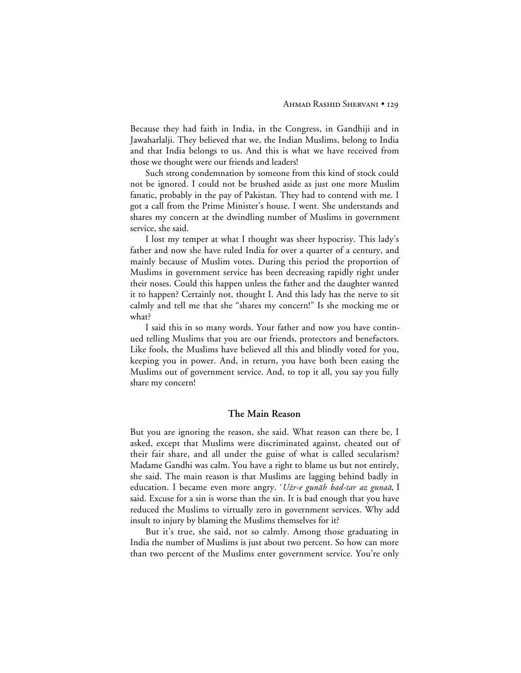Because they had faith in India, in the Congress, in Gandhiji and in Jawaharlalji. They believed that we, the Indian Muslims, belong to India and that India belongs to us. And this is what we have received from those we thought were our friends and leaders!

Such strong condemnation by someone from this kind of stock could not be ignored. I could not be brushed aside as just one more Muslim fanatic, probably in the pay of Pakistan. They had to contend with me. I got a call from the Prime Minister's house. I went. She understands and shares my concern at the dwindling number of Muslims in government service, she said.

I lost my temper at what I thought was sheer hypocrisy. This lady's father and now she have ruled India for over a quarter of a century, and mainly because of Muslim votes. During this period the proportion of Muslims in government service has been decreasing rapidly right under their noses. Could this happen unless the father and the daughter wanted it to happen? Certainly not, thought I. And this lady has the nerve to sit calmly and tell me that she "shares my concern!" Is she mocking me or what?

I said this in so many words. Your father and now you have continued telling Muslims that you are our friends, protectors and benefactors. Like fools, the Muslims have believed all this and blindly voted for you, keeping you in power. And, in return, you have both been easing the Muslims out of government service. And, to top it all, you say you fully share my concern!

#### **The Main Reason**

But you are ignoring the reason, she said. What reason can there be, I asked, except that Muslims were discriminated against, cheated out of their fair share, and all under the guise of what is called secularism? Madame Gandhi was calm. You have a right to blame us but not entirely, she said. The main reason is that Muslims are lagging behind badly in education. I became even more angry. 'Użr-e gunāh bad-tar az gunaā, I said. Excuse for a sin is worse than the sin. It is bad enough that you have reduced the Muslims to virtually zero in government services. Why add insult to injury by blaming the Muslims themselves for it?

But it's true, she said, not so calmly. Among those graduating in India the number of Muslims is just about two percent. So how can more than two percent of the Muslims enter government service. You're only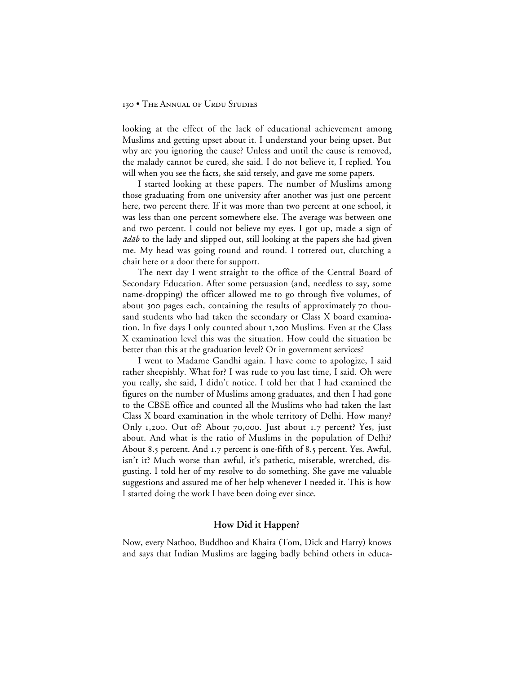looking at the effect of the lack of educational achievement among Muslims and getting upset about it. I understand your being upset. But why are you ignoring the cause? Unless and until the cause is removed, the malady cannot be cured, she said. I do not believe it, I replied. You will when you see the facts, she said tersely, and gave me some papers.

I started looking at these papers. The number of Muslims among those graduating from one university after another was just one percent here, two percent there. If it was more than two percent at one school, it was less than one percent somewhere else. The average was between one and two percent. I could not believe my eyes. I got up, made a sign of  $\bar{a}d\bar{a}b$  to the lady and slipped out, still looking at the papers she had given me. My head was going round and round. I tottered out, clutching a chair here or a door there for support.

The next day I went straight to the office of the Central Board of Secondary Education. After some persuasion (and, needless to say, some name-dropping) the officer allowed me to go through five volumes, of about 300 pages each, containing the results of approximately 70 thousand students who had taken the secondary or Class X board examination. In five days I only counted about 1,200 Muslims. Even at the Class X examination level this was the situation. How could the situation be better than this at the graduation level? Or in government services?

I went to Madame Gandhi again. I have come to apologize, I said rather sheepishly. What for? I was rude to you last time, I said. Oh were you really, she said, I didn't notice. I told her that I had examined the figures on the number of Muslims among graduates, and then I had gone to the CBSE office and counted all the Muslims who had taken the last Class X board examination in the whole territory of Delhi. How many? Only 1,200. Out of? About 70,000. Just about 1.7 percent? Yes, just about. And what is the ratio of Muslims in the population of Delhi? About 8.5 percent. And 1.7 percent is one-fifth of 8.5 percent. Yes. Awful, isn't it? Much worse than awful, it's pathetic, miserable, wretched, disgusting. I told her of my resolve to do something. She gave me valuable suggestions and assured me of her help whenever I needed it. This is how I started doing the work I have been doing ever since.

## **How Did it Happen?**

Now, every Nathoo, Buddhoo and Khaira (Tom, Dick and Harry) knows and says that Indian Muslims are lagging badly behind others in educa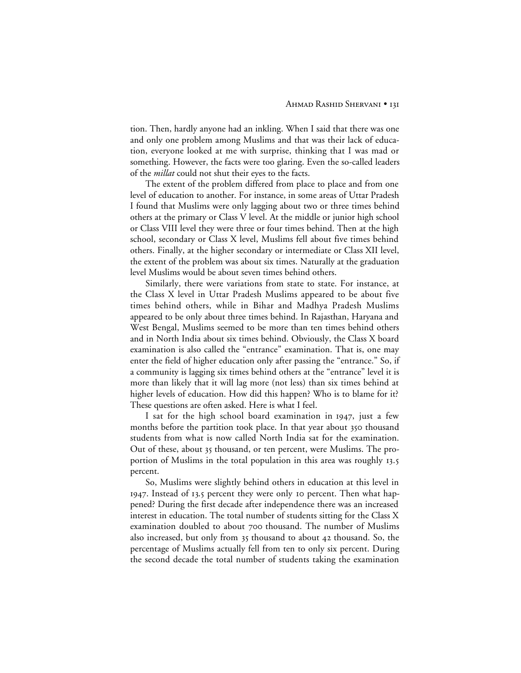tion. Then, hardly anyone had an inkling. When I said that there was one and only one problem among Muslims and that was their lack of education, everyone looked at me with surprise, thinking that I was mad or something. However, the facts were too glaring. Even the so-called leaders of the *millat* could not shut their eyes to the facts.

The extent of the problem differed from place to place and from one level of education to another. For instance, in some areas of Uttar Pradesh I found that Muslims were only lagging about two or three times behind others at the primary or Class V level. At the middle or junior high school or Class VIII level they were three or four times behind. Then at the high school, secondary or Class X level, Muslims fell about five times behind others. Finally, at the higher secondary or intermediate or Class XII level, the extent of the problem was about six times. Naturally at the graduation level Muslims would be about seven times behind others.

Similarly, there were variations from state to state. For instance, at the Class X level in Uttar Pradesh Muslims appeared to be about five times behind others, while in Bihar and Madhya Pradesh Muslims appeared to be only about three times behind. In Rajasthan, Haryana and West Bengal, Muslims seemed to be more than ten times behind others and in North India about six times behind. Obviously, the Class X board examination is also called the "entrance" examination. That is, one may enter the field of higher education only after passing the "entrance." So, if a community is lagging six times behind others at the "entrance" level it is more than likely that it will lag more (not less) than six times behind at higher levels of education. How did this happen? Who is to blame for it? These questions are often asked. Here is what I feel.

I sat for the high school board examination in 1947, just a few months before the partition took place. In that year about 350 thousand students from what is now called North India sat for the examination. Out of these, about 35 thousand, or ten percent, were Muslims. The proportion of Muslims in the total population in this area was roughly 13.5 percent.

So, Muslims were slightly behind others in education at this level in 1947. Instead of 13.5 percent they were only 10 percent. Then what happened? During the first decade after independence there was an increased interest in education. The total number of students sitting for the Class X examination doubled to about 700 thousand. The number of Muslims also increased, but only from 35 thousand to about 42 thousand. So, the percentage of Muslims actually fell from ten to only six percent. During the second decade the total number of students taking the examination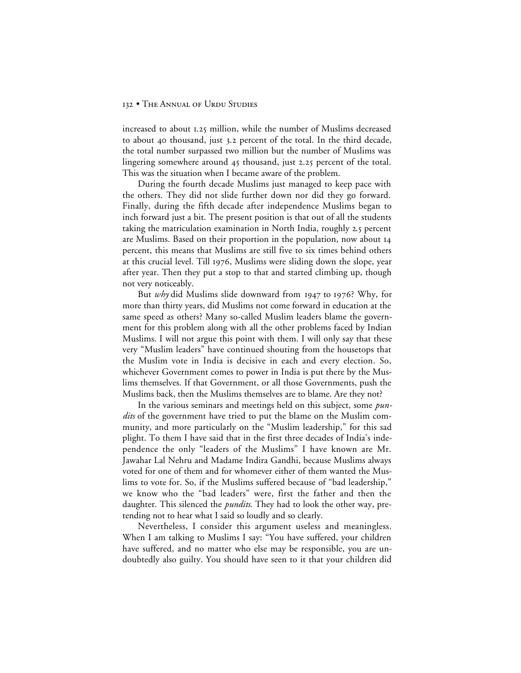increased to about 1.25 million, while the number of Muslims decreased to about 40 thousand, just 3.2 percent of the total. In the third decade, the total number surpassed two million but the number of Muslims was lingering somewhere around  $45$  thousand, just 2.25 percent of the total. This was the situation when I became aware of the problem.

During the fourth decade Muslims just managed to keep pace with the others. They did not slide further down nor did they go forward. Finally, during the fifth decade after independence Muslims began to inch forward just a bit. The present position is that out of all the students taking the matriculation examination in North India, roughly 2.5 percent are Muslims. Based on their proportion in the population, now about percent, this means that Muslims are still five to six times behind others at this crucial level. Till 1976, Muslims were sliding down the slope, year after year. Then they put a stop to that and started climbing up, though not very noticeably.

But *why* did Muslims slide downward from 1947 to 1976? Why, for more than thirty years, did Muslims not come forward in education at the same speed as others? Many so-called Muslim leaders blame the government for this problem along with all the other problems faced by Indian Muslims. I will not argue this point with them. I will only say that these very "Muslim leaders" have continued shouting from the housetops that the Muslim vote in India is decisive in each and every election. So, whichever Government comes to power in India is put there by the Muslims themselves. If that Government, or all those Governments, push the Muslims back, then the Muslims themselves are to blame. Are they not?

In the various seminars and meetings held on this subject, some *pundits* of the government have tried to put the blame on the Muslim community, and more particularly on the "Muslim leadership," for this sad plight. To them I have said that in the first three decades of India's independence the only "leaders of the Muslims" I have known are Mr. Jawahar Lal Nehru and Madame Indira Gandhi, because Muslims always voted for one of them and for whomever either of them wanted the Muslims to vote for. So, if the Muslims suffered because of "bad leadership," we know who the "bad leaders" were, first the father and then the daughter. This silenced the *pundits*. They had to look the other way, pretending not to hear what I said so loudly and so clearly.

Nevertheless, I consider this argument useless and meaningless. When I am talking to Muslims I say: "You have suffered, your children have suffered, and no matter who else may be responsible, you are undoubtedly also guilty. You should have seen to it that your children did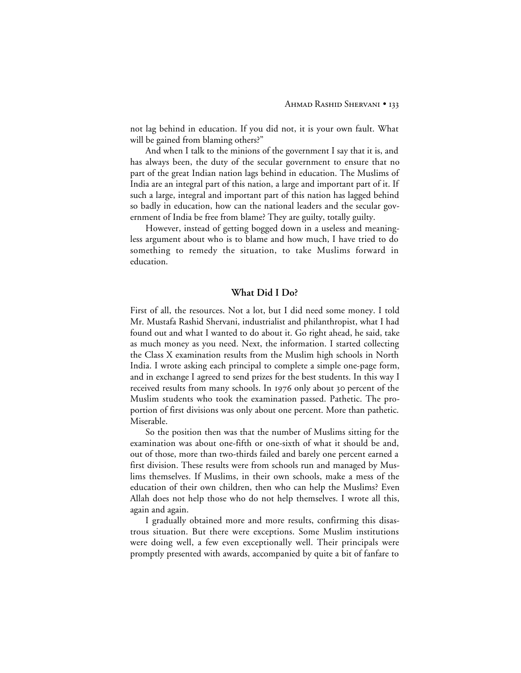not lag behind in education. If you did not, it is your own fault. What will be gained from blaming others?"

And when I talk to the minions of the government I say that it is, and has always been, the duty of the secular government to ensure that no part of the great Indian nation lags behind in education. The Muslims of India are an integral part of this nation, a large and important part of it. If such a large, integral and important part of this nation has lagged behind so badly in education, how can the national leaders and the secular government of India be free from blame? They are guilty, totally guilty.

However, instead of getting bogged down in a useless and meaningless argument about who is to blame and how much, I have tried to do something to remedy the situation, to take Muslims forward in education.

## **What Did I Do?**

First of all, the resources. Not a lot, but I did need some money. I told Mr. Mustafa Rashid Shervani, industrialist and philanthropist, what I had found out and what I wanted to do about it. Go right ahead, he said, take as much money as you need. Next, the information. I started collecting the Class X examination results from the Muslim high schools in North India. I wrote asking each principal to complete a simple one-page form, and in exchange I agreed to send prizes for the best students. In this way I received results from many schools. In 1976 only about 30 percent of the Muslim students who took the examination passed. Pathetic. The proportion of first divisions was only about one percent. More than pathetic. Miserable.

So the position then was that the number of Muslims sitting for the examination was about one-fifth or one-sixth of what it should be and, out of those, more than two-thirds failed and barely one percent earned a first division. These results were from schools run and managed by Muslims themselves. If Muslims, in their own schools, make a mess of the education of their own children, then who can help the Muslims? Even Allah does not help those who do not help themselves. I wrote all this, again and again.

I gradually obtained more and more results, confirming this disastrous situation. But there were exceptions. Some Muslim institutions were doing well, a few even exceptionally well. Their principals were promptly presented with awards, accompanied by quite a bit of fanfare to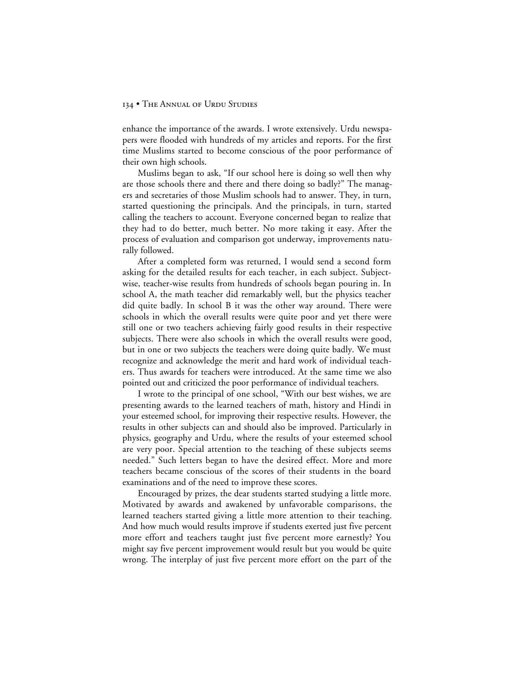#### 134 • THE ANNUAL OF URDU STUDIES

enhance the importance of the awards. I wrote extensively. Urdu newspapers were flooded with hundreds of my articles and reports. For the first time Muslims started to become conscious of the poor performance of their own high schools.

Muslims began to ask, "If our school here is doing so well then why are those schools there and there and there doing so badly?" The managers and secretaries of those Muslim schools had to answer. They, in turn, started questioning the principals. And the principals, in turn, started calling the teachers to account. Everyone concerned began to realize that they had to do better, much better. No more taking it easy. After the process of evaluation and comparison got underway, improvements naturally followed.

After a completed form was returned, I would send a second form asking for the detailed results for each teacher, in each subject. Subjectwise, teacher-wise results from hundreds of schools began pouring in. In school A, the math teacher did remarkably well, but the physics teacher did quite badly. In school B it was the other way around. There were schools in which the overall results were quite poor and yet there were still one or two teachers achieving fairly good results in their respective subjects. There were also schools in which the overall results were good, but in one or two subjects the teachers were doing quite badly. We must recognize and acknowledge the merit and hard work of individual teachers. Thus awards for teachers were introduced. At the same time we also pointed out and criticized the poor performance of individual teachers.

I wrote to the principal of one school, "With our best wishes, we are presenting awards to the learned teachers of math, history and Hindi in your esteemed school, for improving their respective results. However, the results in other subjects can and should also be improved. Particularly in physics, geography and Urdu, where the results of your esteemed school are very poor. Special attention to the teaching of these subjects seems needed." Such letters began to have the desired effect. More and more teachers became conscious of the scores of their students in the board examinations and of the need to improve these scores.

Encouraged by prizes, the dear students started studying a little more. Motivated by awards and awakened by unfavorable comparisons, the learned teachers started giving a little more attention to their teaching. And how much would results improve if students exerted just five percent more effort and teachers taught just five percent more earnestly? You might say five percent improvement would result but you would be quite wrong. The interplay of just five percent more effort on the part of the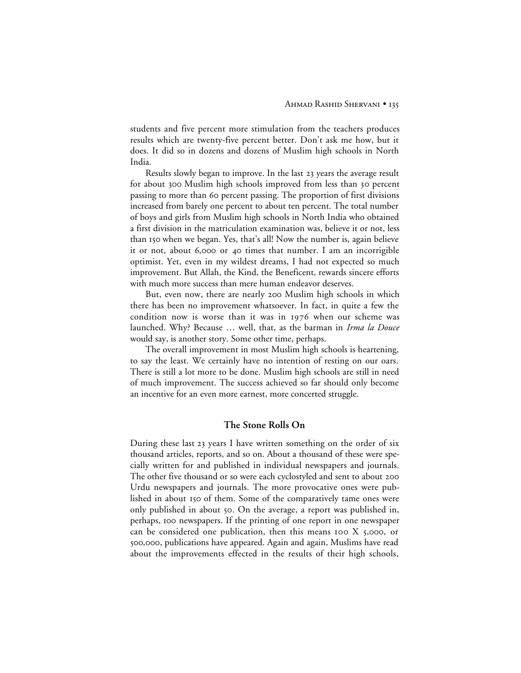students and five percent more stimulation from the teachers produces results which are twenty-five percent better. Don't ask me how, but it does. It did so in dozens and dozens of Muslim high schools in North India.

Results slowly began to improve. In the last 23 years the average result for about 300 Muslim high schools improved from less than 30 percent passing to more than 60 percent passing. The proportion of first divisions increased from barely one percent to about ten percent. The total number of boys and girls from Muslim high schools in North India who obtained a first division in the matriculation examination was, believe it or not, less than 150 when we began. Yes, that's all! Now the number is, again believe it or not, about 6,000 or 40 times that number. I am an incorrigible optimist. Yet, even in my wildest dreams, I had not expected so much improvement. But Allah, the Kind, the Beneficent, rewards sincere efforts with much more success than mere human endeavor deserves.

But, even now, there are nearly 200 Muslim high schools in which there has been no improvement whatsoever. In fact, in quite a few the condition now is worse than it was in  $1976$  when our scheme was launched. Why? Because … well, that, as the barman in *Irma la Douce* would say, is another story. Some other time, perhaps.

The overall improvement in most Muslim high schools is heartening, to say the least. We certainly have no intention of resting on our oars. There is still a lot more to be done. Muslim high schools are still in need of much improvement. The success achieved so far should only become an incentive for an even more earnest, more concerted struggle.

# **The Stone Rolls On**

During these last 23 years I have written something on the order of six thousand articles, reports, and so on. About a thousand of these were specially written for and published in individual newspapers and journals. The other five thousand or so were each cyclostyled and sent to about 200 Urdu newspapers and journals. The more provocative ones were published in about 150 of them. Some of the comparatively tame ones were only published in about 50. On the average, a report was published in, perhaps, 100 newspapers. If the printing of one report in one newspaper can be considered one publication, then this means  $I$  too  $X$  5,000, or 500,000, publications have appeared. Again and again, Muslims have read about the improvements effected in the results of their high schools,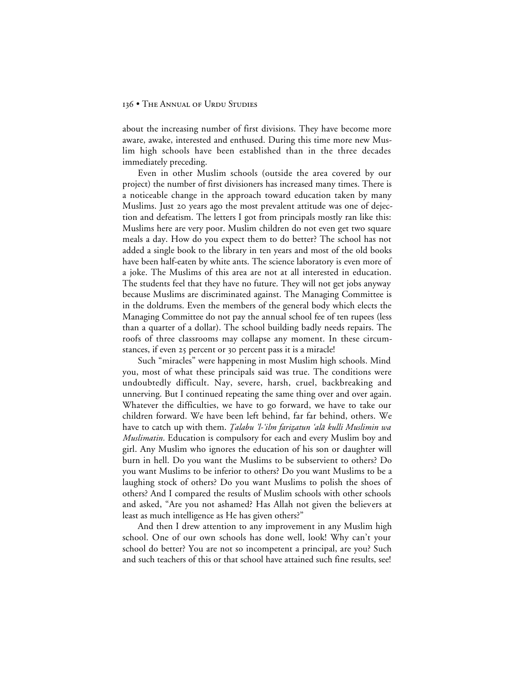about the increasing number of first divisions. They have become more aware, awake, interested and enthused. During this time more new Muslim high schools have been established than in the three decades immediately preceding.

Even in other Muslim schools (outside the area covered by our project) the number of first divisioners has increased many times. There is a noticeable change in the approach toward education taken by many Muslims. Just 20 years ago the most prevalent attitude was one of dejection and defeatism. The letters I got from principals mostly ran like this: Muslims here are very poor. Muslim children do not even get two square meals a day. How do you expect them to do better? The school has not added a single book to the library in ten years and most of the old books have been half-eaten by white ants. The science laboratory is even more of a joke. The Muslims of this area are not at all interested in education. The students feel that they have no future. They will not get jobs anyway because Muslims are discriminated against. The Managing Committee is in the doldrums. Even the members of the general body which elects the Managing Committee do not pay the annual school fee of ten rupees (less than a quarter of a dollar). The school building badly needs repairs. The roofs of three classrooms may collapse any moment. In these circumstances, if even 25 percent or 30 percent pass it is a miracle!

Such "miracles" were happening in most Muslim high schools. Mind you, most of what these principals said was true. The conditions were undoubtedly difficult. Nay, severe, harsh, cruel, backbreaking and unnerving. But I continued repeating the same thing over and over again. Whatever the difficulties, we have to go forward, we have to take our children forward. We have been left behind, far far behind, others. We have to catch up with them. *Ţalabu 'l-'ilm farizatun 'alā kulli Muslimin wa* Muslimatin*.* Education is compulsory for each and every Muslim boy and girl. Any Muslim who ignores the education of his son or daughter will burn in hell. Do you want the Muslims to be subservient to others? Do you want Muslims to be inferior to others? Do you want Muslims to be a laughing stock of others? Do you want Muslims to polish the shoes of others? And I compared the results of Muslim schools with other schools and asked, "Are you not ashamed? Has Allah not given the believers at least as much intelligence as He has given others?"

And then I drew attention to any improvement in any Muslim high school. One of our own schools has done well, look! Why can't your school do better? You are not so incompetent a principal, are you? Such and such teachers of this or that school have attained such fine results, see!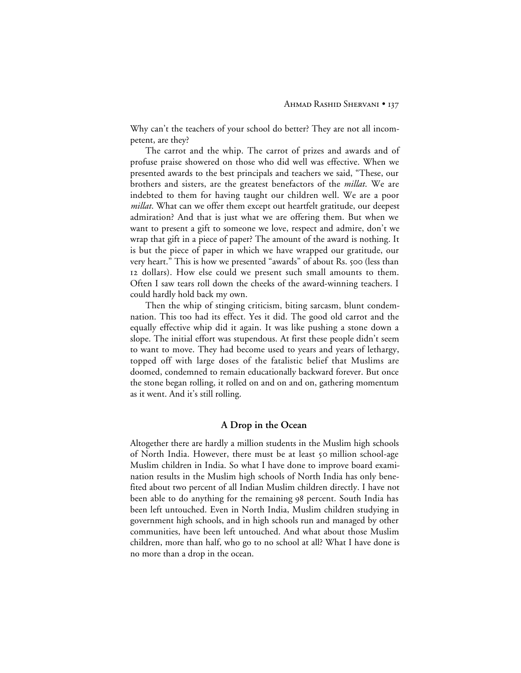Why can't the teachers of your school do better? They are not all incompetent, are they?

The carrot and the whip. The carrot of prizes and awards and of profuse praise showered on those who did well was effective. When we presented awards to the best principals and teachers we said, "These, our brothers and sisters, are the greatest benefactors of the *millat*. We are indebted to them for having taught our children well. We are a poor *millat*. What can we offer them except out heartfelt gratitude, our deepest admiration? And that is just what we are offering them. But when we want to present a gift to someone we love, respect and admire, don't we wrap that gift in a piece of paper? The amount of the award is nothing. It is but the piece of paper in which we have wrapped our gratitude, our very heart." This is how we presented "awards" of about Rs. 500 (less than 12 dollars). How else could we present such small amounts to them. Often I saw tears roll down the cheeks of the award-winning teachers. I could hardly hold back my own.

Then the whip of stinging criticism, biting sarcasm, blunt condemnation. This too had its effect. Yes it did. The good old carrot and the equally effective whip did it again. It was like pushing a stone down a slope. The initial effort was stupendous. At first these people didn't seem to want to move. They had become used to years and years of lethargy, topped off with large doses of the fatalistic belief that Muslims are doomed, condemned to remain educationally backward forever. But once the stone began rolling, it rolled on and on and on, gathering momentum as it went. And it's still rolling.

#### **A Drop in the Ocean**

Altogether there are hardly a million students in the Muslim high schools of North India. However, there must be at least 50 million school-age Muslim children in India. So what I have done to improve board examination results in the Muslim high schools of North India has only benefited about two percent of all Indian Muslim children directly. I have not been able to do anything for the remaining 98 percent. South India has been left untouched. Even in North India, Muslim children studying in government high schools, and in high schools run and managed by other communities, have been left untouched. And what about those Muslim children, more than half, who go to no school at all? What I have done is no more than a drop in the ocean.